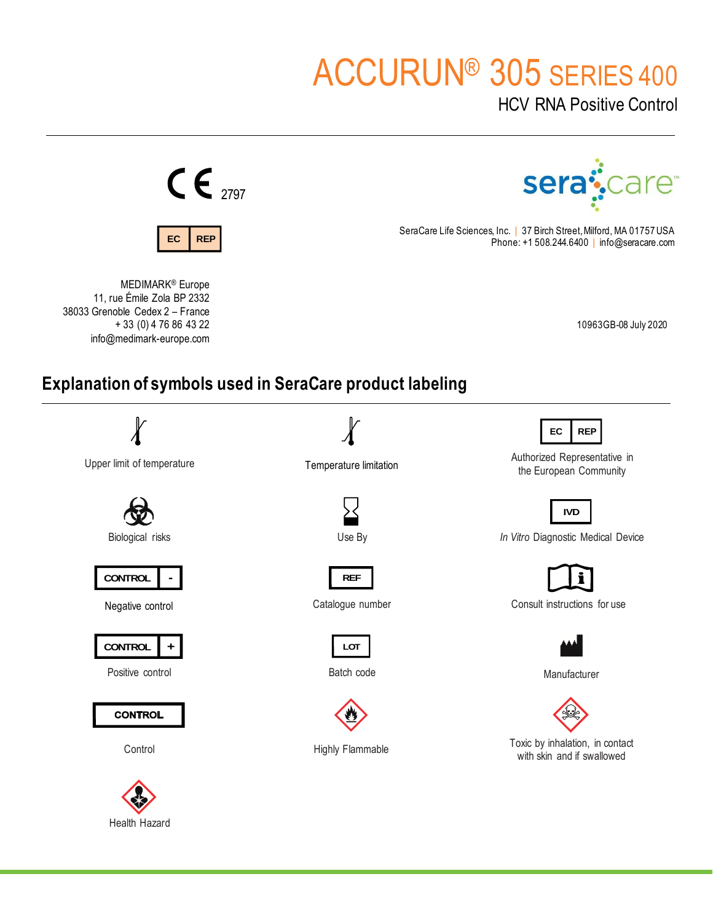# ACCURUN® 305 SERIES 400

HCV RNA Positive Control



Health Hazard